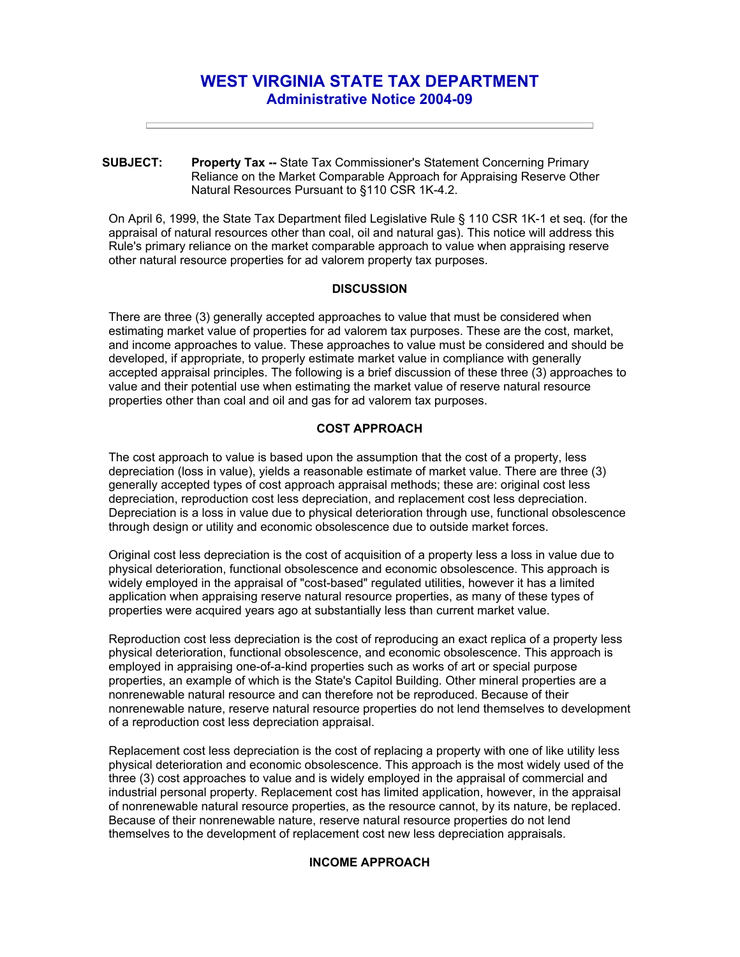# **WEST VIRGINIA STATE TAX DEPARTMENT Administrative Notice 2004-09**

**SUBJECT: Property Tax --** State Tax Commissioner's Statement Concerning Primary Reliance on the Market Comparable Approach for Appraising Reserve Other Natural Resources Pursuant to §110 CSR 1K-4.2.

On April 6, 1999, the State Tax Department filed Legislative Rule § 110 CSR 1K-1 et seq. (for the appraisal of natural resources other than coal, oil and natural gas). This notice will address this Rule's primary reliance on the market comparable approach to value when appraising reserve other natural resource properties for ad valorem property tax purposes.

#### **DISCUSSION**

There are three (3) generally accepted approaches to value that must be considered when estimating market value of properties for ad valorem tax purposes. These are the cost, market, and income approaches to value. These approaches to value must be considered and should be developed, if appropriate, to properly estimate market value in compliance with generally accepted appraisal principles. The following is a brief discussion of these three (3) approaches to value and their potential use when estimating the market value of reserve natural resource properties other than coal and oil and gas for ad valorem tax purposes.

## **COST APPROACH**

The cost approach to value is based upon the assumption that the cost of a property, less depreciation (loss in value), yields a reasonable estimate of market value. There are three (3) generally accepted types of cost approach appraisal methods; these are: original cost less depreciation, reproduction cost less depreciation, and replacement cost less depreciation. Depreciation is a loss in value due to physical deterioration through use, functional obsolescence through design or utility and economic obsolescence due to outside market forces.

Original cost less depreciation is the cost of acquisition of a property less a loss in value due to physical deterioration, functional obsolescence and economic obsolescence. This approach is widely employed in the appraisal of "cost-based" regulated utilities, however it has a limited application when appraising reserve natural resource properties, as many of these types of properties were acquired years ago at substantially less than current market value.

Reproduction cost less depreciation is the cost of reproducing an exact replica of a property less physical deterioration, functional obsolescence, and economic obsolescence. This approach is employed in appraising one-of-a-kind properties such as works of art or special purpose properties, an example of which is the State's Capitol Building. Other mineral properties are a nonrenewable natural resource and can therefore not be reproduced. Because of their nonrenewable nature, reserve natural resource properties do not lend themselves to development of a reproduction cost less depreciation appraisal.

Replacement cost less depreciation is the cost of replacing a property with one of like utility less physical deterioration and economic obsolescence. This approach is the most widely used of the three (3) cost approaches to value and is widely employed in the appraisal of commercial and industrial personal property. Replacement cost has limited application, however, in the appraisal of nonrenewable natural resource properties, as the resource cannot, by its nature, be replaced. Because of their nonrenewable nature, reserve natural resource properties do not lend themselves to the development of replacement cost new less depreciation appraisals.

#### **INCOME APPROACH**